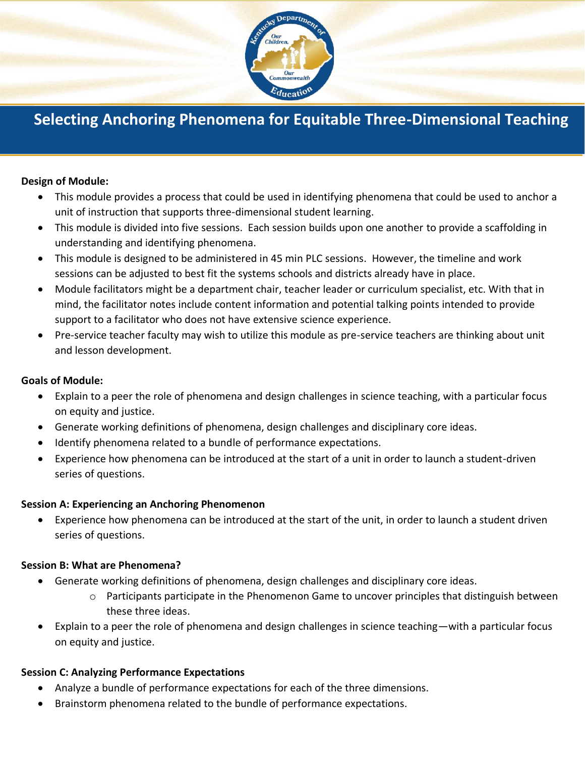

# **Selecting Anchoring Phenomena for Equitable Three-Dimensional Teaching**

#### **Design of Module:**

- This module provides a process that could be used in identifying phenomena that could be used to anchor a unit of instruction that supports three-dimensional student learning.
- This module is divided into five sessions. Each session builds upon one another to provide a scaffolding in understanding and identifying phenomena.
- This module is designed to be administered in 45 min PLC sessions. However, the timeline and work sessions can be adjusted to best fit the systems schools and districts already have in place.
- Module facilitators might be a department chair, teacher leader or curriculum specialist, etc. With that in mind, the facilitator notes include content information and potential talking points intended to provide support to a facilitator who does not have extensive science experience.
- Pre-service teacher faculty may wish to utilize this module as pre-service teachers are thinking about unit and lesson development.

#### **Goals of Module:**

- Explain to a peer the role of phenomena and design challenges in science teaching, with a particular focus on equity and justice.
- Generate working definitions of phenomena, design challenges and disciplinary core ideas.
- Identify phenomena related to a bundle of performance expectations.
- Experience how phenomena can be introduced at the start of a unit in order to launch a student-driven series of questions.

## **Session A: Experiencing an Anchoring Phenomenon**

• Experience how phenomena can be introduced at the start of the unit, in order to launch a student driven series of questions.

## **Session B: What are Phenomena?**

- Generate working definitions of phenomena, design challenges and disciplinary core ideas.
	- $\circ$  Participants participate in the Phenomenon Game to uncover principles that distinguish between these three ideas.
- Explain to a peer the role of phenomena and design challenges in science teaching—with a particular focus on equity and justice.

## **Session C: Analyzing Performance Expectations**

- Analyze a bundle of performance expectations for each of the three dimensions.
- Brainstorm phenomena related to the bundle of performance expectations.